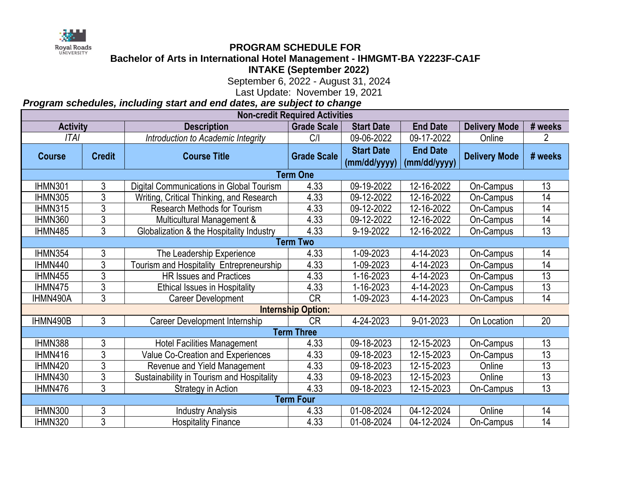*Program schedules, including start and end dates, are subject to change*

| <b>Non-credit Required Activities</b> |                |                                                 |                    |                   |                 |                      |         |  |  |  |  |  |
|---------------------------------------|----------------|-------------------------------------------------|--------------------|-------------------|-----------------|----------------------|---------|--|--|--|--|--|
| <b>Activity</b>                       |                | <b>Description</b>                              | <b>Grade Scale</b> | <b>Start Date</b> | <b>End Date</b> | <b>Delivery Mode</b> | # weeks |  |  |  |  |  |
| <b>ITAI</b>                           |                | Introduction to Academic Integrity              | C/1                | 09-06-2022        | 09-17-2022      | Online               | 2       |  |  |  |  |  |
| <b>Course</b>                         | <b>Credit</b>  | <b>Course Title</b>                             | <b>Grade Scale</b> | <b>Start Date</b> | <b>End Date</b> | <b>Delivery Mode</b> | # weeks |  |  |  |  |  |
|                                       |                |                                                 |                    | (mm/dd/yyyy)      | (mm/dd/yyyy)    |                      |         |  |  |  |  |  |
| <b>Term One</b>                       |                |                                                 |                    |                   |                 |                      |         |  |  |  |  |  |
| <b>IHMN301</b>                        | 3              | <b>Digital Communications in Global Tourism</b> | 4.33               | 09-19-2022        | 12-16-2022      | On-Campus            | 13      |  |  |  |  |  |
| IHMN305                               | 3              | Writing, Critical Thinking, and Research        | 4.33               | 09-12-2022        | 12-16-2022      | On-Campus            | 14      |  |  |  |  |  |
| IHMN315                               | 3              | <b>Research Methods for Tourism</b>             | 4.33               | 09-12-2022        | 12-16-2022      | On-Campus            | 14      |  |  |  |  |  |
| IHMN360                               | 3              | Multicultural Management &                      | 4.33               | 09-12-2022        | 12-16-2022      | On-Campus            | 14      |  |  |  |  |  |
| IHMN485                               | 3              | Globalization & the Hospitality Industry        | 4.33               | 9-19-2022         | 12-16-2022      | On-Campus            | 13      |  |  |  |  |  |
| <b>Term Two</b>                       |                |                                                 |                    |                   |                 |                      |         |  |  |  |  |  |
| IHMN354                               | 3              | The Leadership Experience                       | 4.33               | 1-09-2023         | 4-14-2023       | On-Campus            | 14      |  |  |  |  |  |
| IHMN440                               | $\mathfrak{Z}$ | Tourism and Hospitality Entrepreneurship        | 4.33               | -09-2023          | 4-14-2023       | On-Campus            | 14      |  |  |  |  |  |
| IHMN455                               | 3              | <b>HR Issues and Practices</b>                  | 4.33               | -16-2023          | 4-14-2023       | On-Campus            | 13      |  |  |  |  |  |
| IHMN475                               | $\mathfrak{Z}$ | <b>Ethical Issues in Hospitality</b>            | 4.33               | 1-16-2023         | 4-14-2023       | <b>On-Campus</b>     | 13      |  |  |  |  |  |
| IHMN490A                              | 3              | <b>Career Development</b>                       | <b>CR</b>          | 1-09-2023         | 4-14-2023       | On-Campus            | 14      |  |  |  |  |  |
| <b>Internship Option:</b>             |                |                                                 |                    |                   |                 |                      |         |  |  |  |  |  |
| IHMN490B                              | 3              | Career Development Internship                   | <b>CR</b>          | 4-24-2023         | 9-01-2023       | On Location          | 20      |  |  |  |  |  |
|                                       |                |                                                 | <b>Term Three</b>  |                   |                 |                      |         |  |  |  |  |  |
| IHMN388                               | 3              | <b>Hotel Facilities Management</b>              | 4.33               | 09-18-2023        | 12-15-2023      | On-Campus            | 13      |  |  |  |  |  |
| IHMN416                               | $\mathfrak{S}$ | <b>Value Co-Creation and Experiences</b>        | 4.33               | 09-18-2023        | 12-15-2023      | On-Campus            | 13      |  |  |  |  |  |
| IHMN420                               | 3              | Revenue and Yield Management                    | 4.33               | 09-18-2023        | 12-15-2023      | Online               | 13      |  |  |  |  |  |
| IHMN430                               | 3              | Sustainability in Tourism and Hospitality       | 4.33               | 09-18-2023        | 12-15-2023      | Online               | 13      |  |  |  |  |  |
| IHMN476                               | 3              | Strategy in Action                              | 4.33               | 09-18-2023        | 12-15-2023      | On-Campus            | 13      |  |  |  |  |  |
| <b>Term Four</b>                      |                |                                                 |                    |                   |                 |                      |         |  |  |  |  |  |
| IHMN300                               | 3              | <b>Industry Analysis</b>                        | 4.33               | 01-08-2024        | 04-12-2024      | Online               | 14      |  |  |  |  |  |
| IHMN320                               | 3              | <b>Hospitality Finance</b>                      | 4.33               | 01-08-2024        | 04-12-2024      | On-Campus            | 14      |  |  |  |  |  |



## **PROGRAM SCHEDULE FOR**

**Bachelor of Arts in International Hotel Management - IHMGMT-BA Y2223F-CA1F INTAKE (September 2022)**

September 6, 2022 - August 31, 2024

Last Update: November 19, 2021